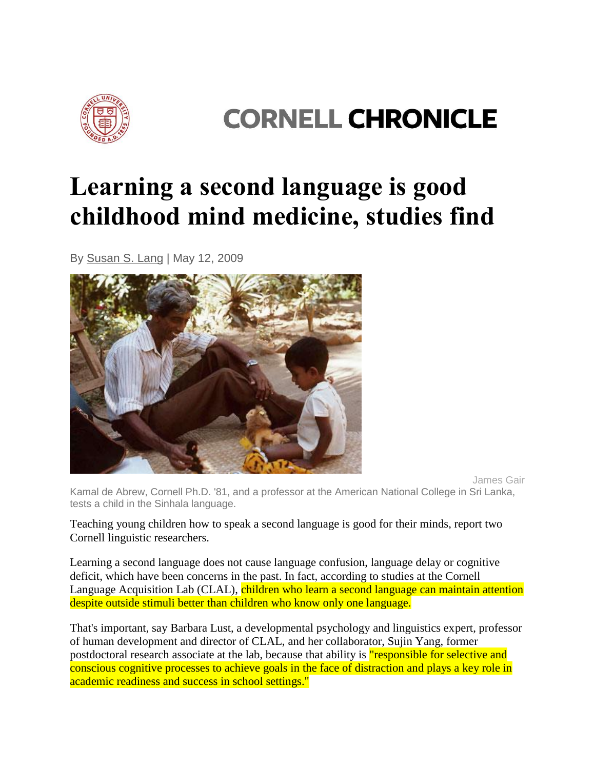

## **CORNELL CHRONICLE**

## **Learning a second language is good childhood mind medicine, studies find**

By [Susan S. Lang](mailto:cunews@cornell.edu) | May 12, 2009



James Gair

Kamal de Abrew, Cornell Ph.D. '81, and a professor at the American National College in Sri Lanka, tests a child in the Sinhala language.

Teaching young children how to speak a second language is good for their minds, report two Cornell linguistic researchers.

Learning a second language does not cause language confusion, language delay or cognitive deficit, which have been concerns in the past. In fact, according to studies at the Cornell Language Acquisition Lab (CLAL), children who learn a second language can maintain attention despite outside stimuli better than children who know only one language.

That's important, say Barbara Lust, a developmental psychology and linguistics expert, professor of human development and director of CLAL, and her collaborator, Sujin Yang, former postdoctoral research associate at the lab, because that ability is "responsible for selective and conscious cognitive processes to achieve goals in the face of distraction and plays a key role in academic readiness and success in school settings."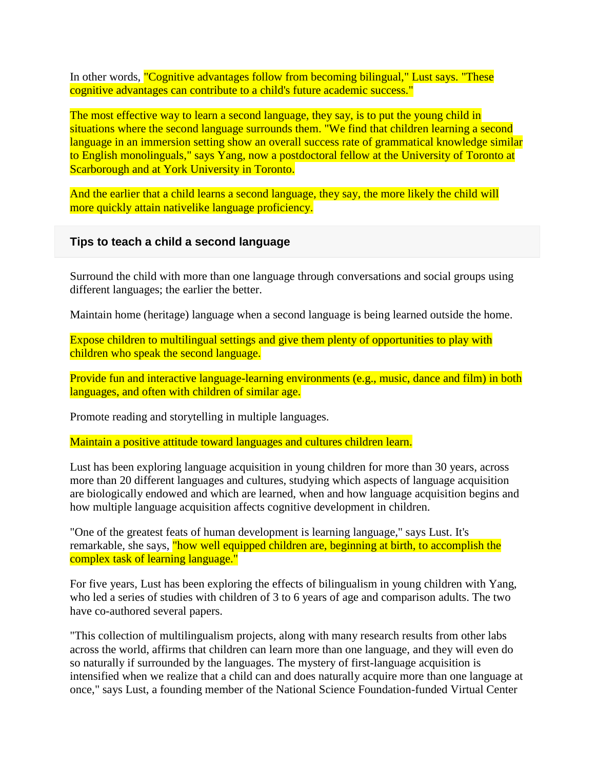In other words, "Cognitive advantages follow from becoming bilingual," Lust says. "These cognitive advantages can contribute to a child's future academic success."

The most effective way to learn a second language, they say, is to put the young child in situations where the second language surrounds them. "We find that children learning a second language in an immersion setting show an overall success rate of grammatical knowledge similar to English monolinguals," says Yang, now a postdoctoral fellow at the University of Toronto at Scarborough and at York University in Toronto.

And the earlier that a child learns a second language, they say, the more likely the child will more quickly attain nativelike language proficiency.

## **Tips to teach a child a second language**

Surround the child with more than one language through conversations and social groups using different languages; the earlier the better.

Maintain home (heritage) language when a second language is being learned outside the home.

Expose children to multilingual settings and give them plenty of opportunities to play with children who speak the second language.

Provide fun and interactive language-learning environments (e.g., music, dance and film) in both languages, and often with children of similar age.

Promote reading and storytelling in multiple languages.

Maintain a positive attitude toward languages and cultures children learn.

Lust has been exploring language acquisition in young children for more than 30 years, across more than 20 different languages and cultures, studying which aspects of language acquisition are biologically endowed and which are learned, when and how language acquisition begins and how multiple language acquisition affects cognitive development in children.

"One of the greatest feats of human development is learning language," says Lust. It's remarkable, she says, "how well equipped children are, beginning at birth, to accomplish the complex task of learning language."

For five years, Lust has been exploring the effects of bilingualism in young children with Yang, who led a series of studies with children of 3 to 6 years of age and comparison adults. The two have co-authored several papers.

"This collection of multilingualism projects, along with many research results from other labs across the world, affirms that children can learn more than one language, and they will even do so naturally if surrounded by the languages. The mystery of first-language acquisition is intensified when we realize that a child can and does naturally acquire more than one language at once," says Lust, a founding member of the National Science Foundation-funded Virtual Center